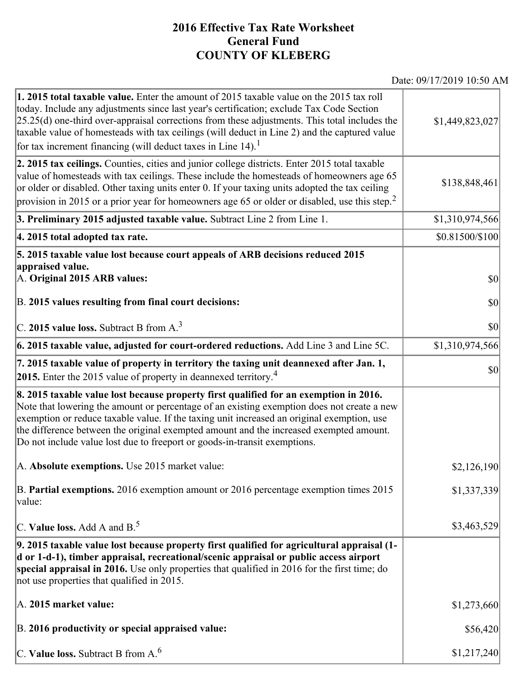## **2016 Effective Tax Rate Worksheet General Fund COUNTY OF KLEBERG**

Date: 09/17/2019 10:50 AM

| 1. 2015 total taxable value. Enter the amount of 2015 taxable value on the 2015 tax roll<br>today. Include any adjustments since last year's certification; exclude Tax Code Section<br>$[25.25(d)$ one-third over-appraisal corrections from these adjustments. This total includes the<br>taxable value of homesteads with tax ceilings (will deduct in Line 2) and the captured value<br>for tax increment financing (will deduct taxes in Line $14$ ). <sup>1</sup> | \$1,449,823,027 |
|-------------------------------------------------------------------------------------------------------------------------------------------------------------------------------------------------------------------------------------------------------------------------------------------------------------------------------------------------------------------------------------------------------------------------------------------------------------------------|-----------------|
| 2. 2015 tax ceilings. Counties, cities and junior college districts. Enter 2015 total taxable<br>value of homesteads with tax ceilings. These include the homesteads of homeowners age 65<br>or older or disabled. Other taxing units enter 0. If your taxing units adopted the tax ceiling<br>provision in 2015 or a prior year for homeowners age 65 or older or disabled, use this step. <sup>2</sup>                                                                | \$138,848,461   |
| 3. Preliminary 2015 adjusted taxable value. Subtract Line 2 from Line 1.                                                                                                                                                                                                                                                                                                                                                                                                | \$1,310,974,566 |
| 4. 2015 total adopted tax rate.                                                                                                                                                                                                                                                                                                                                                                                                                                         | \$0.81500/\$100 |
| 5. 2015 taxable value lost because court appeals of ARB decisions reduced 2015<br>appraised value.                                                                                                                                                                                                                                                                                                                                                                      |                 |
| A. Original 2015 ARB values:                                                                                                                                                                                                                                                                                                                                                                                                                                            | $ 10\rangle$    |
| B. 2015 values resulting from final court decisions:                                                                                                                                                                                                                                                                                                                                                                                                                    | 30              |
| C. 2015 value loss. Subtract B from $A3$                                                                                                                                                                                                                                                                                                                                                                                                                                | $ 10\rangle$    |
| $\vert$ 6. 2015 taxable value, adjusted for court-ordered reductions. Add Line 3 and Line 5C.                                                                                                                                                                                                                                                                                                                                                                           | \$1,310,974,566 |
| 7. 2015 taxable value of property in territory the taxing unit deannexed after Jan. 1,<br><b>2015.</b> Enter the 2015 value of property in deannexed territory. <sup>4</sup>                                                                                                                                                                                                                                                                                            | $ 10\rangle$    |
| 8. 2015 taxable value lost because property first qualified for an exemption in 2016.<br>Note that lowering the amount or percentage of an existing exemption does not create a new<br>exemption or reduce taxable value. If the taxing unit increased an original exemption, use<br>the difference between the original exempted amount and the increased exempted amount.<br>Do not include value lost due to freeport or goods-in-transit exemptions.                |                 |
| A. Absolute exemptions. Use 2015 market value:                                                                                                                                                                                                                                                                                                                                                                                                                          | \$2,126,190     |
| B. Partial exemptions. 2016 exemption amount or 2016 percentage exemption times 2015<br>value:                                                                                                                                                                                                                                                                                                                                                                          | \$1,337,339     |
| $ C$ . Value loss. Add A and B. <sup>5</sup>                                                                                                                                                                                                                                                                                                                                                                                                                            | \$3,463,529     |
| 9. 2015 taxable value lost because property first qualified for agricultural appraisal (1-<br>d or 1-d-1), timber appraisal, recreational/scenic appraisal or public access airport<br>special appraisal in 2016. Use only properties that qualified in 2016 for the first time; do<br>not use properties that qualified in 2015.                                                                                                                                       |                 |
| A. 2015 market value:                                                                                                                                                                                                                                                                                                                                                                                                                                                   | \$1,273,660     |
| B. 2016 productivity or special appraised value:                                                                                                                                                                                                                                                                                                                                                                                                                        | \$56,420        |
| C. Value loss. Subtract B from $A6$                                                                                                                                                                                                                                                                                                                                                                                                                                     | \$1,217,240     |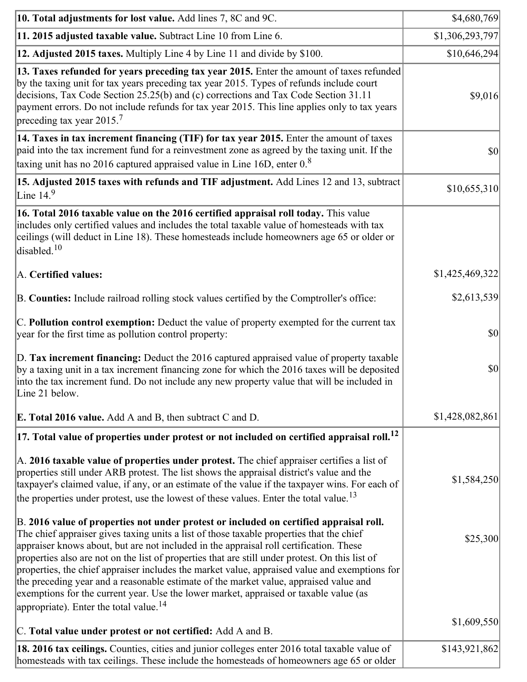| 10. Total adjustments for lost value. Add lines 7, 8C and 9C.                                                                                                                                                                                                                                                                                                                                                                                                                                                                                                                                                                                                                                                            | \$4,680,769     |
|--------------------------------------------------------------------------------------------------------------------------------------------------------------------------------------------------------------------------------------------------------------------------------------------------------------------------------------------------------------------------------------------------------------------------------------------------------------------------------------------------------------------------------------------------------------------------------------------------------------------------------------------------------------------------------------------------------------------------|-----------------|
| 11. 2015 adjusted taxable value. Subtract Line 10 from Line 6.                                                                                                                                                                                                                                                                                                                                                                                                                                                                                                                                                                                                                                                           | \$1,306,293,797 |
| 12. Adjusted 2015 taxes. Multiply Line 4 by Line 11 and divide by \$100.                                                                                                                                                                                                                                                                                                                                                                                                                                                                                                                                                                                                                                                 | \$10,646,294    |
| 13. Taxes refunded for years preceding tax year 2015. Enter the amount of taxes refunded<br>by the taxing unit for tax years preceding tax year 2015. Types of refunds include court<br>decisions, Tax Code Section 25.25(b) and (c) corrections and Tax Code Section 31.11<br>payment errors. Do not include refunds for tax year 2015. This line applies only to tax years<br>preceding tax year $2015.7$                                                                                                                                                                                                                                                                                                              | \$9,016         |
| 14. Taxes in tax increment financing (TIF) for tax year 2015. Enter the amount of taxes<br>paid into the tax increment fund for a reinvestment zone as agreed by the taxing unit. If the<br>taxing unit has no 2016 captured appraised value in Line 16D, enter $08$                                                                                                                                                                                                                                                                                                                                                                                                                                                     | $ 10\rangle$    |
| 15. Adjusted 2015 taxes with refunds and TIF adjustment. Add Lines 12 and 13, subtract<br>Line $149$                                                                                                                                                                                                                                                                                                                                                                                                                                                                                                                                                                                                                     | \$10,655,310    |
| 16. Total 2016 taxable value on the 2016 certified appraisal roll today. This value<br>includes only certified values and includes the total taxable value of homesteads with tax<br>ceilings (will deduct in Line 18). These homesteads include homeowners age 65 or older or<br>disabled. <sup>10</sup>                                                                                                                                                                                                                                                                                                                                                                                                                |                 |
| A. Certified values:                                                                                                                                                                                                                                                                                                                                                                                                                                                                                                                                                                                                                                                                                                     | \$1,425,469,322 |
| B. Counties: Include railroad rolling stock values certified by the Comptroller's office:                                                                                                                                                                                                                                                                                                                                                                                                                                                                                                                                                                                                                                | \$2,613,539     |
| C. Pollution control exemption: Deduct the value of property exempted for the current tax<br>year for the first time as pollution control property:                                                                                                                                                                                                                                                                                                                                                                                                                                                                                                                                                                      | $ 10\rangle$    |
| D. Tax increment financing: Deduct the 2016 captured appraised value of property taxable<br>by a taxing unit in a tax increment financing zone for which the 2016 taxes will be deposited<br>into the tax increment fund. Do not include any new property value that will be included in<br>Line 21 below.                                                                                                                                                                                                                                                                                                                                                                                                               | $ 10\rangle$    |
| <b>E. Total 2016 value.</b> Add A and B, then subtract C and D.                                                                                                                                                                                                                                                                                                                                                                                                                                                                                                                                                                                                                                                          | \$1,428,082,861 |
| $ 17.$ Total value of properties under protest or not included on certified appraisal roll. $^{12}$                                                                                                                                                                                                                                                                                                                                                                                                                                                                                                                                                                                                                      |                 |
| A. 2016 taxable value of properties under protest. The chief appraiser certifies a list of<br>properties still under ARB protest. The list shows the appraisal district's value and the<br>taxpayer's claimed value, if any, or an estimate of the value if the taxpayer wins. For each of<br>the properties under protest, use the lowest of these values. Enter the total value. <sup>13</sup>                                                                                                                                                                                                                                                                                                                         | \$1,584,250     |
| B. 2016 value of properties not under protest or included on certified appraisal roll.<br>The chief appraiser gives taxing units a list of those taxable properties that the chief<br>appraiser knows about, but are not included in the appraisal roll certification. These<br>properties also are not on the list of properties that are still under protest. On this list of<br>properties, the chief appraiser includes the market value, appraised value and exemptions for<br>the preceding year and a reasonable estimate of the market value, appraised value and<br>exemptions for the current year. Use the lower market, appraised or taxable value (as<br>appropriate). Enter the total value. <sup>14</sup> | \$25,300        |
| C. Total value under protest or not certified: Add A and B.                                                                                                                                                                                                                                                                                                                                                                                                                                                                                                                                                                                                                                                              | \$1,609,550     |
| 18. 2016 tax ceilings. Counties, cities and junior colleges enter 2016 total taxable value of<br>homesteads with tax ceilings. These include the homesteads of homeowners age 65 or older                                                                                                                                                                                                                                                                                                                                                                                                                                                                                                                                | \$143,921,862   |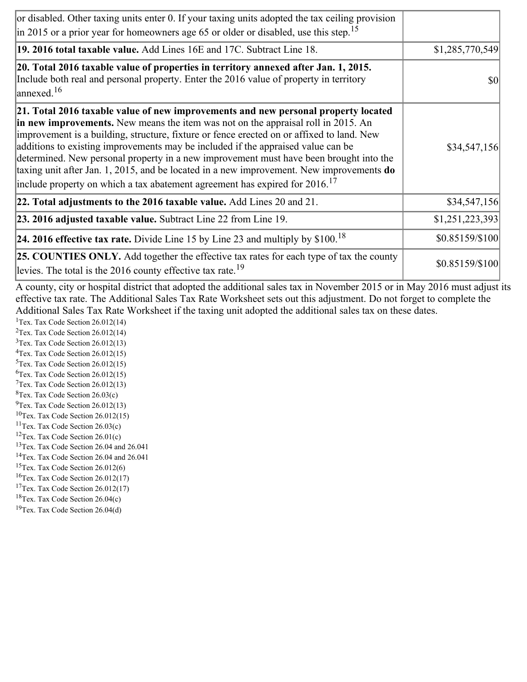| or disabled. Other taxing units enter 0. If your taxing units adopted the tax ceiling provision<br>$\left  \text{in } 2015 \text{ or a prior year for home owners age } 65 \text{ or older or disabled, use this step.} \right ^{15}$                                                                                                                                                                                                                                                                                                                                                                                                        |                 |
|----------------------------------------------------------------------------------------------------------------------------------------------------------------------------------------------------------------------------------------------------------------------------------------------------------------------------------------------------------------------------------------------------------------------------------------------------------------------------------------------------------------------------------------------------------------------------------------------------------------------------------------------|-----------------|
| 19. 2016 total taxable value. Add Lines 16E and 17C. Subtract Line 18.                                                                                                                                                                                                                                                                                                                                                                                                                                                                                                                                                                       | \$1,285,770,549 |
| 20. Total 2016 taxable value of properties in territory annexed after Jan. 1, 2015.<br>Include both real and personal property. Enter the 2016 value of property in territory<br>$\vert$ annexed. <sup>16</sup>                                                                                                                                                                                                                                                                                                                                                                                                                              | \$0             |
| 21. Total 2016 taxable value of new improvements and new personal property located<br>in new improvements. New means the item was not on the appraisal roll in 2015. An<br>improvement is a building, structure, fixture or fence erected on or affixed to land. New<br>additions to existing improvements may be included if the appraised value can be<br>determined. New personal property in a new improvement must have been brought into the<br>taxing unit after Jan. 1, 2015, and be located in a new improvement. New improvements do<br>include property on which a tax abatement agreement has expired for $2016$ . <sup>17</sup> | \$34,547,156    |
| 22. Total adjustments to the 2016 taxable value. Add Lines 20 and 21.                                                                                                                                                                                                                                                                                                                                                                                                                                                                                                                                                                        | \$34,547,156    |
| 23. 2016 adjusted taxable value. Subtract Line 22 from Line 19.                                                                                                                                                                                                                                                                                                                                                                                                                                                                                                                                                                              | \$1,251,223,393 |
| <b>24. 2016 effective tax rate.</b> Divide Line 15 by Line 23 and multiply by $$100$ . <sup>18</sup>                                                                                                                                                                                                                                                                                                                                                                                                                                                                                                                                         | \$0.85159/\$100 |
| <b>25. COUNTIES ONLY.</b> Add together the effective tax rates for each type of tax the county<br>levies. The total is the $2016$ county effective tax rate. <sup>19</sup>                                                                                                                                                                                                                                                                                                                                                                                                                                                                   | \$0.85159/\$100 |

A county, city or hospital district that adopted the additional sales tax in November 2015 or in May 2016 must adjust its effective tax rate. The Additional Sales Tax Rate Worksheet sets out this adjustment. Do not forget to complete the Additional Sales Tax Rate Worksheet if the taxing unit adopted the additional sales tax on these dates.

<sup>1</sup>Tex. Tax Code Section  $26.012(14)$ <sup>2</sup>Tex. Tax Code Section  $26.012(14)$  $3$ Tex. Tax Code Section 26.012(13)  ${}^{4}$ Tex. Tax Code Section 26.012(15)  $5$ Tex. Tax Code Section 26.012(15)  ${}^{6}$ Tex. Tax Code Section 26.012(15)  $7$ Tex. Tax Code Section 26.012(13)  ${}^{8}$ Tex. Tax Code Section 26.03(c)

- $^{9}$ Tex. Tax Code Section 26.012(13)
- $10$ Tex. Tax Code Section 26.012(15)
- <sup>11</sup>Tex. Tax Code Section  $26.03(c)$
- <sup>12</sup>Tex. Tax Code Section  $26.01(c)$
- <sup>13</sup>Tex. Tax Code Section 26.04 and 26.041
- <sup>14</sup>Tex. Tax Code Section 26.04 and 26.041
- $15$ Tex. Tax Code Section 26.012(6)
- <sup>16</sup>Tex. Tax Code Section  $26.012(17)$
- <sup>17</sup>Tex. Tax Code Section  $26.012(17)$
- ${}^{18}$ Tex. Tax Code Section 26.04(c)
- <sup>19</sup>Tex. Tax Code Section 26.04(d)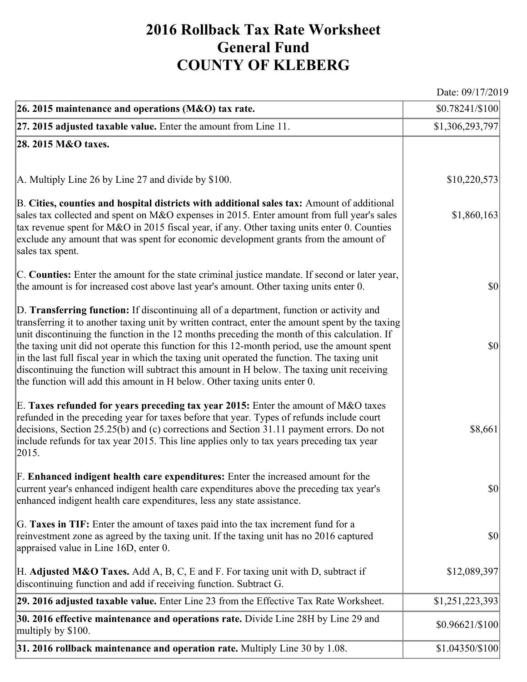## **2016 Rollback Tax Rate Worksheet General Fund COUNTY OF KLEBERG**

Date: 09/17/2019

| 26. 2015 maintenance and operations (M&O) tax rate.                                                                                                                                                                                                                                                                                                                                                                                                                                                                                                                                                                                                                     | $$0.78241/\$100$                    |
|-------------------------------------------------------------------------------------------------------------------------------------------------------------------------------------------------------------------------------------------------------------------------------------------------------------------------------------------------------------------------------------------------------------------------------------------------------------------------------------------------------------------------------------------------------------------------------------------------------------------------------------------------------------------------|-------------------------------------|
| $ 27.2015$ adjusted taxable value. Enter the amount from Line 11.                                                                                                                                                                                                                                                                                                                                                                                                                                                                                                                                                                                                       | \$1,306,293,797                     |
| 28. 2015 M&O taxes.                                                                                                                                                                                                                                                                                                                                                                                                                                                                                                                                                                                                                                                     |                                     |
|                                                                                                                                                                                                                                                                                                                                                                                                                                                                                                                                                                                                                                                                         |                                     |
| A. Multiply Line 26 by Line 27 and divide by $$100$ .                                                                                                                                                                                                                                                                                                                                                                                                                                                                                                                                                                                                                   | \$10,220,573                        |
| B. Cities, counties and hospital districts with additional sales tax: Amount of additional<br>sales tax collected and spent on M&O expenses in 2015. Enter amount from full year's sales<br>tax revenue spent for M&O in 2015 fiscal year, if any. Other taxing units enter 0. Counties<br>exclude any amount that was spent for economic development grants from the amount of<br>sales tax spent.                                                                                                                                                                                                                                                                     | \$1,860,163                         |
| C. Counties: Enter the amount for the state criminal justice mandate. If second or later year,<br>the amount is for increased cost above last year's amount. Other taxing units enter 0.                                                                                                                                                                                                                                                                                                                                                                                                                                                                                | $ 10\rangle$                        |
| D. Transferring function: If discontinuing all of a department, function or activity and<br>transferring it to another taxing unit by written contract, enter the amount spent by the taxing<br>unit discontinuing the function in the 12 months preceding the month of this calculation. If<br>the taxing unit did not operate this function for this 12-month period, use the amount spent<br>in the last full fiscal year in which the taxing unit operated the function. The taxing unit<br>discontinuing the function will subtract this amount in H below. The taxing unit receiving<br>the function will add this amount in H below. Other taxing units enter 0. | $ 10\rangle$                        |
| E. Taxes refunded for years preceding tax year 2015: Enter the amount of M&O taxes<br>refunded in the preceding year for taxes before that year. Types of refunds include court<br>decisions, Section 25.25(b) and (c) corrections and Section 31.11 payment errors. Do not<br>include refunds for tax year 2015. This line applies only to tax years preceding tax year<br> 2015.                                                                                                                                                                                                                                                                                      | \$8,661                             |
| F. Enhanced indigent health care expenditures: Enter the increased amount for the<br>current year's enhanced indigent health care expenditures above the preceding tax year's<br>enhanced indigent health care expenditures, less any state assistance.                                                                                                                                                                                                                                                                                                                                                                                                                 | $\vert \mathbf{S} \mathbf{0} \vert$ |
| G. Taxes in TIF: Enter the amount of taxes paid into the tax increment fund for a<br>reinvestment zone as agreed by the taxing unit. If the taxing unit has no 2016 captured<br>appraised value in Line 16D, enter 0.                                                                                                                                                                                                                                                                                                                                                                                                                                                   | $ 10\rangle$                        |
| H. Adjusted M&O Taxes. Add A, B, C, E and F. For taxing unit with D, subtract if<br>discontinuing function and add if receiving function. Subtract G.                                                                                                                                                                                                                                                                                                                                                                                                                                                                                                                   | \$12,089,397                        |
| 29. 2016 adjusted taxable value. Enter Line 23 from the Effective Tax Rate Worksheet.                                                                                                                                                                                                                                                                                                                                                                                                                                                                                                                                                                                   | \$1,251,223,393                     |
| 30. 2016 effective maintenance and operations rate. Divide Line 28H by Line 29 and<br>multiply by \$100.                                                                                                                                                                                                                                                                                                                                                                                                                                                                                                                                                                | \$0.96621/\$100                     |
| 31. 2016 rollback maintenance and operation rate. Multiply Line 30 by 1.08.                                                                                                                                                                                                                                                                                                                                                                                                                                                                                                                                                                                             | \$1.04350/\$100                     |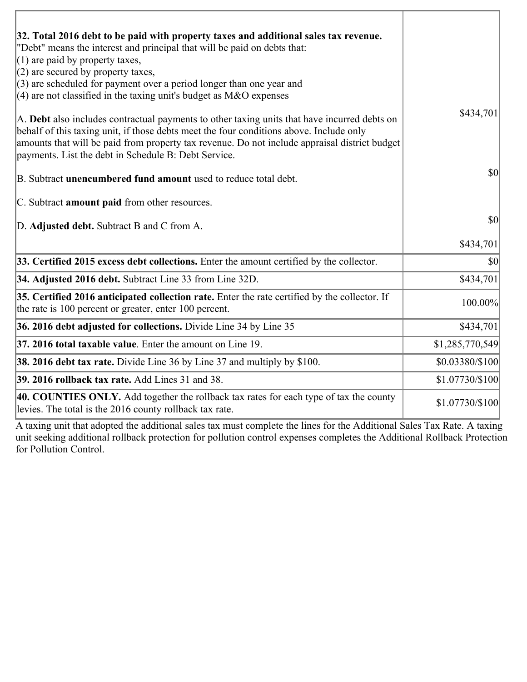| 32. Total 2016 debt to be paid with property taxes and additional sales tax revenue.<br>"Debt" means the interest and principal that will be paid on debts that:<br>$(1)$ are paid by property taxes,<br>$(2)$ are secured by property taxes,<br>$(3)$ are scheduled for payment over a period longer than one year and                          |                 |
|--------------------------------------------------------------------------------------------------------------------------------------------------------------------------------------------------------------------------------------------------------------------------------------------------------------------------------------------------|-----------------|
| (4) are not classified in the taxing unit's budget as $M&O$ expenses                                                                                                                                                                                                                                                                             |                 |
| A. Debt also includes contractual payments to other taxing units that have incurred debts on<br>behalf of this taxing unit, if those debts meet the four conditions above. Include only<br>amounts that will be paid from property tax revenue. Do not include appraisal district budget<br>payments. List the debt in Schedule B: Debt Service. | \$434,701       |
| B. Subtract unencumbered fund amount used to reduce total debt.                                                                                                                                                                                                                                                                                  | \$0             |
| C. Subtract <b>amount paid</b> from other resources.                                                                                                                                                                                                                                                                                             |                 |
| D. Adjusted debt. Subtract B and C from A.                                                                                                                                                                                                                                                                                                       | \$0             |
|                                                                                                                                                                                                                                                                                                                                                  | \$434,701       |
| 33. Certified 2015 excess debt collections. Enter the amount certified by the collector.                                                                                                                                                                                                                                                         | \$0             |
| 34. Adjusted 2016 debt. Subtract Line 33 from Line 32D.                                                                                                                                                                                                                                                                                          | \$434,701       |
| 35. Certified 2016 anticipated collection rate. Enter the rate certified by the collector. If<br>the rate is 100 percent or greater, enter 100 percent.                                                                                                                                                                                          | 100.00%         |
| 36. 2016 debt adjusted for collections. Divide Line 34 by Line 35                                                                                                                                                                                                                                                                                | \$434,701       |
| 37. 2016 total taxable value. Enter the amount on Line 19.                                                                                                                                                                                                                                                                                       | \$1,285,770,549 |
| <b>38. 2016 debt tax rate.</b> Divide Line 36 by Line 37 and multiply by \$100.                                                                                                                                                                                                                                                                  | \$0.03380/\$100 |
| <b>39. 2016 rollback tax rate.</b> Add Lines 31 and 38.                                                                                                                                                                                                                                                                                          | \$1.07730/\$100 |
| 40. COUNTIES ONLY. Add together the rollback tax rates for each type of tax the county<br>levies. The total is the 2016 county rollback tax rate.                                                                                                                                                                                                | \$1.07730/\$100 |

A taxing unit that adopted the additional sales tax must complete the lines for the Additional Sales Tax Rate. A taxing unit seeking additional rollback protection for pollution control expenses completes the Additional Rollback Protection for Pollution Control.